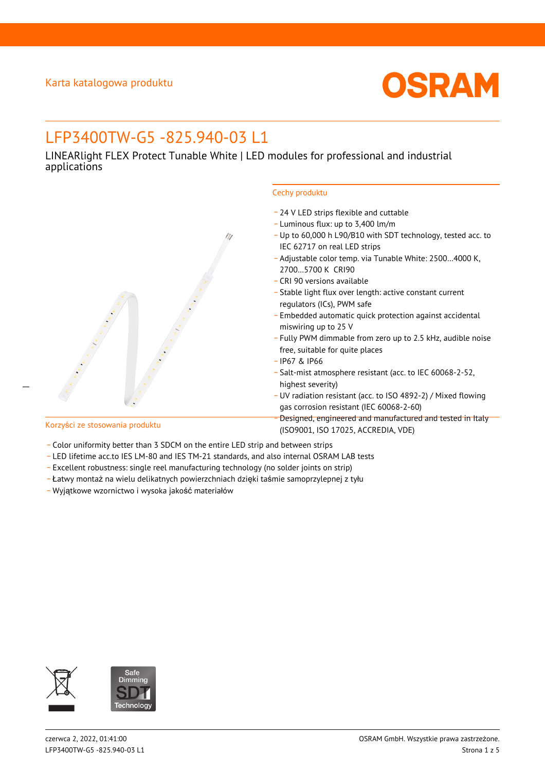

# LFP3400TW-G5 -825.940-03 L1

LINEARlight FLEX Protect Tunable White | LED modules for professional and industrial applications



- \_ 24 V LED strips flexible and cuttable
- \_ Luminous flux: up to 3,400 lm/m
- \_ Up to 60,000 h L90/B10 with SDT technology, tested acc. to IEC 62717 on real LED strips
- \_ Adjustable color temp. via Tunable White: 2500…4000 K, 2700…5700 K CRI90
- \_ CRI 90 versions available
- \_ Stable light flux over length: active constant current regulators (ICs), PWM safe
- \_ Embedded automatic quick protection against accidental miswiring up to 25 V
- \_ Fully PWM dimmable from zero up to 2.5 kHz, audible noise free, suitable for quite places
- \_ IP67 & IP66
- \_ Salt-mist atmosphere resistant (acc. to IEC 60068-2-52, highest severity)
- \_ UV radiation resistant (acc. to ISO 4892-2) / Mixed flowing gas corrosion resistant (IEC 60068-2-60)
- \_ Designed, engineered and manufactured and tested in Italy (ISO9001, ISO 17025, ACCREDIA, VDE)

 $\overline{a}$ 

- Korzyści ze stosowania produktu
- Color uniformity better than 3 SDCM on the entire LED strip and between strips
- \_ LED lifetime acc.to IES LM-80 and IES TM-21 standards, and also internal OSRAM LAB tests
- \_ Excellent robustness: single reel manufacturing technology (no solder joints on strip)
- \_ Łatwy montaż na wielu delikatnych powierzchniach dzięki taśmie samoprzylepnej z tyłu
- \_ Wyjątkowe wzornictwo i wysoka jakość materiałów

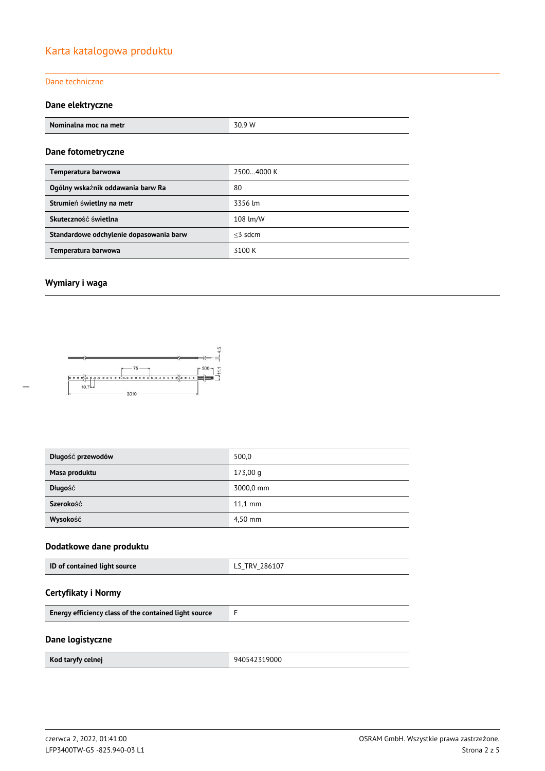## Karta katalogowa produktu

#### Dane techniczne

#### **Dane elektryczne**

| Nominalna moc na metr                   | 30.9 W     |
|-----------------------------------------|------------|
| Dane fotometryczne                      |            |
| Temperatura barwowa                     | 25004000 K |
| Ogólny wskaźnik oddawania barw Ra       | 80         |
| Strumień świetlny na metr               | 3356 lm    |
| Skuteczność świetlna                    | 108 lm/W   |
| Standardowe odchylenie dopasowania barw | $<$ 3 sdcm |
| Temperatura barwowa                     | 3100 K     |

#### **Wymiary i waga**



| Długość przewodów | 500,0     |
|-------------------|-----------|
| Masa produktu     | 173,00q   |
| Długość           | 3000,0 mm |
| Szerokość         | $11.1$ mm |
| Wysokość          | 4,50 mm   |

#### **Dodatkowe dane produktu**

### **Certyfikaty i Normy**

#### **Dane logistyczne**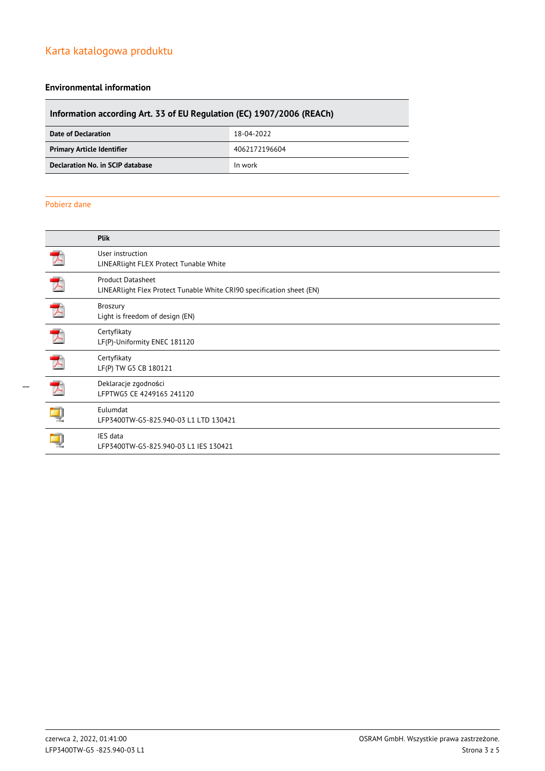### Karta katalogowa produktu

#### **Environmental information**

## **Information according Art. 33 of EU Regulation (EC) 1907/2006 (REACh) Date of Declaration** 18-04-2022 **Primary Article Identifier** 4062172196604 **Declaration No. in SCIP database In work**

#### Pobierz dane

|   | <b>Plik</b>                                                                                       |
|---|---------------------------------------------------------------------------------------------------|
|   | User instruction<br>LINEARlight FLEX Protect Tunable White                                        |
|   | <b>Product Datasheet</b><br>LINEARlight Flex Protect Tunable White CRI90 specification sheet (EN) |
|   | <b>Broszury</b><br>Light is freedom of design (EN)                                                |
|   | Certyfikaty<br>LF(P)-Uniformity ENEC 181120                                                       |
| プ | Certyfikaty<br>LF(P) TW G5 CB 180121                                                              |
| プ | Deklaracje zgodności<br>LFPTWG5 CE 4249165 241120                                                 |
|   | Eulumdat<br>LFP3400TW-G5-825.940-03 L1 LTD 130421                                                 |
|   | IES data<br>LFP3400TW-G5-825.940-03 L1 IES 130421                                                 |
|   |                                                                                                   |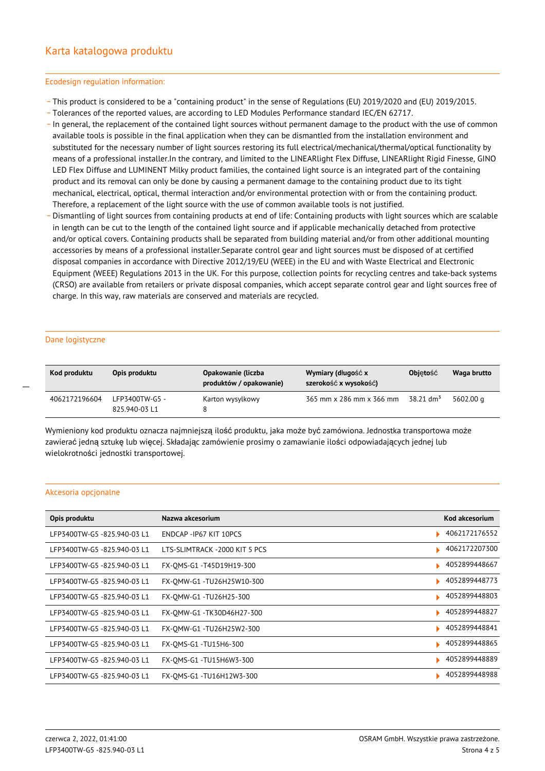#### Ecodesign regulation information:

- \_ This product is considered to be a "containing product" in the sense of Regulations (EU) 2019/2020 and (EU) 2019/2015.
- \_ Tolerances of the reported values, are according to LED Modules Performance standard IEC/EN 62717.
- \_ In general, the replacement of the contained light sources without permanent damage to the product with the use of common available tools is possible in the final application when they can be dismantled from the installation environment and substituted for the necessary number of light sources restoring its full electrical/mechanical/thermal/optical functionality by means of a professional installer.In the contrary, and limited to the LINEARlight Flex Diffuse, LINEARlight Rigid Finesse, GINO LED Flex Diffuse and LUMINENT Milky product families, the contained light source is an integrated part of the containing product and its removal can only be done by causing a permanent damage to the containing product due to its tight mechanical, electrical, optical, thermal interaction and/or environmental protection with or from the containing product. Therefore, a replacement of the light source with the use of common available tools is not justified.
- Dismantling of light sources from containing products at end of life: Containing products with light sources which are scalable in length can be cut to the length of the contained light source and if applicable mechanically detached from protective and/or optical covers. Containing products shall be separated from building material and/or from other additional mounting accessories by means of a professional installer.Separate control gear and light sources must be disposed of at certified disposal companies in accordance with Directive 2012/19/EU (WEEE) in the EU and with Waste Electrical and Electronic Equipment (WEEE) Regulations 2013 in the UK. For this purpose, collection points for recycling centres and take-back systems (CRSO) are available from retailers or private disposal companies, which accept separate control gear and light sources free of charge. In this way, raw materials are conserved and materials are recycled.

#### Dane logistyczne

 $\overline{a}$ 

| Kod produktu  | Opis produktu                   | Opakowanie (liczba<br>produktów / opakowanie) | Wymiary (długość x<br>szerokość x wysokość) | <b>Objetość</b>         | Waga brutto |
|---------------|---------------------------------|-----------------------------------------------|---------------------------------------------|-------------------------|-------------|
| 4062172196604 | LFP3400TW-G5 -<br>825.940-03 L1 | Karton wysylkowy                              | 365 mm x 286 mm x 366 mm                    | $38.21$ dm <sup>3</sup> | 5602.00 g   |

Wymieniony kod produktu oznacza najmniejszą ilość produktu, jaka może być zamówiona. Jednostka transportowa może zawierać jedną sztukę lub więcej. Składając zamówienie prosimy o zamawianie ilości odpowiadających jednej lub wielokrotności jednostki transportowej.

#### Akcesoria opcjonalne

| Opis produktu               | Nazwa akcesorium              | Kod akcesorium |
|-----------------------------|-------------------------------|----------------|
| LFP3400TW-G5-825.940-03 L1  | ENDCAP-IP67 KIT 10PCS         | 4062172176552  |
| LFP3400TW-G5-825.940-03 L1  | LTS-SLIMTRACK -2000 KIT 5 PCS | 4062172207300  |
| LFP3400TW-G5-825.940-03 L1  | FX-OMS-G1-T45D19H19-300       | 4052899448667  |
| LFP3400TW-G5 -825.940-03 L1 | FX-OMW-G1-TU26H25W10-300      | 4052899448773  |
| LFP3400TW-G5-825.940-03 L1  | FX-OMW-G1 -TU26H25-300        | 4052899448803  |
| LFP3400TW-G5 -825.940-03 L1 | FX-OMW-G1-TK30D46H27-300      | 4052899448827  |
| LFP3400TW-G5 -825.940-03 L1 | FX-OMW-G1-TU26H25W2-300       | 4052899448841  |
| LFP3400TW-G5 -825.940-03 L1 | FX-OMS-G1 -TU15H6-300         | 4052899448865  |
| LFP3400TW-G5 -825.940-03 L1 | FX-OMS-G1 -TU15H6W3-300       | 4052899448889  |
| LFP3400TW-G5 -825.940-03 L1 | FX-OMS-G1 -TU16H12W3-300      | 4052899448988  |